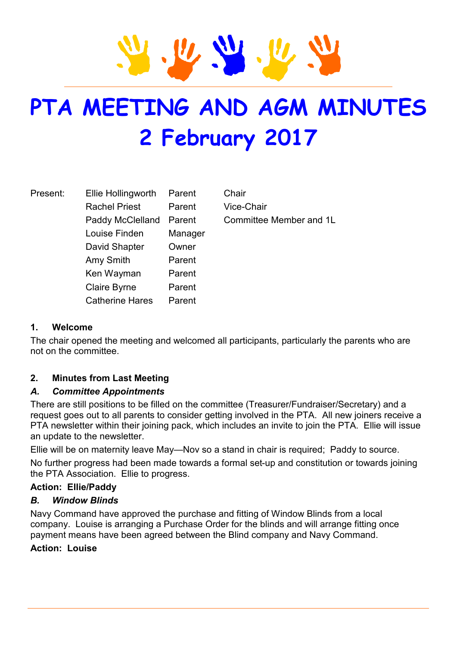# **PTA MEETING AND AGM MINUTES 2 February 2017**

| Present: | Ellie Hollingworth     | Parent  | Chair |
|----------|------------------------|---------|-------|
|          | <b>Rachel Priest</b>   | Parent  | Vice- |
|          | Paddy McClelland       | Parent  | Comr  |
|          | Louise Finden          | Manager |       |
|          | David Shapter          | Owner   |       |
|          | Amy Smith              | Parent  |       |
|          | Ken Wayman             | Parent  |       |
|          | <b>Claire Byrne</b>    | Parent  |       |
|          | <b>Catherine Hares</b> | Parent  |       |

Vice-Chair Committee Member and 1L

# **1. Welcome**

The chair opened the meeting and welcomed all participants, particularly the parents who are not on the committee.

# **2. Minutes from Last Meeting**

#### *A. Committee Appointments*

There are still positions to be filled on the committee (Treasurer/Fundraiser/Secretary) and a request goes out to all parents to consider getting involved in the PTA. All new joiners receive a PTA newsletter within their joining pack, which includes an invite to join the PTA. Ellie will issue an update to the newsletter.

Ellie will be on maternity leave May—Nov so a stand in chair is required; Paddy to source.

No further progress had been made towards a formal set-up and constitution or towards joining the PTA Association. Ellie to progress.

#### **Action: Ellie/Paddy**

#### *B. Window Blinds*

Navy Command have approved the purchase and fitting of Window Blinds from a local company. Louise is arranging a Purchase Order for the blinds and will arrange fitting once payment means have been agreed between the Blind company and Navy Command.

#### **Action: Louise**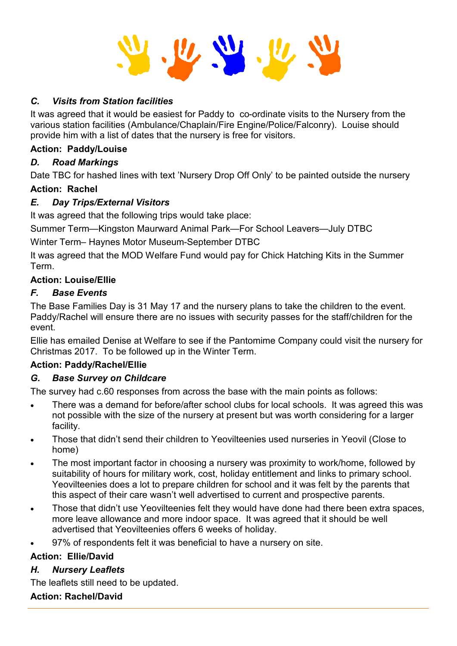#### *C. Visits from Station facilities*

It was agreed that it would be easiest for Paddy to co-ordinate visits to the Nursery from the various station facilities (Ambulance/Chaplain/Fire Engine/Police/Falconry). Louise should provide him with a list of dates that the nursery is free for visitors.

#### **Action: Paddy/Louise**

#### *D. Road Markings*

Date TBC for hashed lines with text 'Nursery Drop Off Only' to be painted outside the nursery

#### **Action: Rachel**

#### *E. Day Trips/External Visitors*

It was agreed that the following trips would take place:

Summer Term—Kingston Maurward Animal Park—For School Leavers—July DTBC

Winter Term– Haynes Motor Museum-September DTBC

It was agreed that the MOD Welfare Fund would pay for Chick Hatching Kits in the Summer Term.

#### **Action: Louise/Ellie**

#### *F. Base Events*

The Base Families Day is 31 May 17 and the nursery plans to take the children to the event. Paddy/Rachel will ensure there are no issues with security passes for the staff/children for the event.

Ellie has emailed Denise at Welfare to see if the Pantomime Company could visit the nursery for Christmas 2017. To be followed up in the Winter Term.

# **Action: Paddy/Rachel/Ellie**

# *G. Base Survey on Childcare*

The survey had c.60 responses from across the base with the main points as follows:

- There was a demand for before/after school clubs for local schools. It was agreed this was not possible with the size of the nursery at present but was worth considering for a larger facility.
- Those that didn't send their children to Yeovilteenies used nurseries in Yeovil (Close to home)
- The most important factor in choosing a nursery was proximity to work/home, followed by suitability of hours for military work, cost, holiday entitlement and links to primary school. Yeovilteenies does a lot to prepare children for school and it was felt by the parents that this aspect of their care wasn't well advertised to current and prospective parents.
- Those that didn't use Yeovilteenies felt they would have done had there been extra spaces, more leave allowance and more indoor space. It was agreed that it should be well advertised that Yeovilteenies offers 6 weeks of holiday.
- 97% of respondents felt it was beneficial to have a nursery on site.

# **Action: Ellie/David**

# *H. Nursery Leaflets*

The leaflets still need to be updated.

#### **Action: Rachel/David**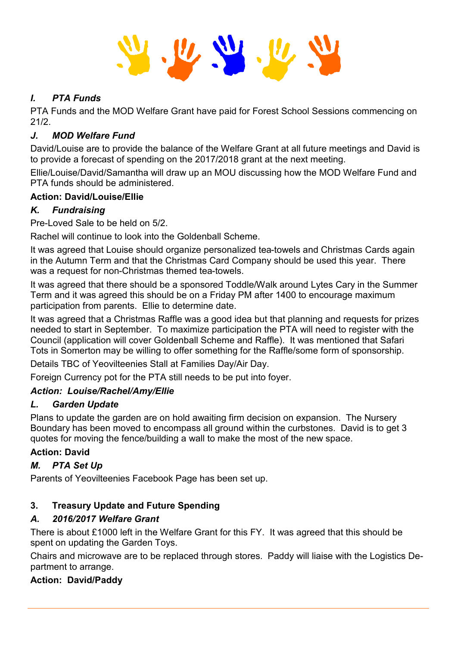# *I. PTA Funds*

PTA Funds and the MOD Welfare Grant have paid for Forest School Sessions commencing on 21/2.

# *J. MOD Welfare Fund*

David/Louise are to provide the balance of the Welfare Grant at all future meetings and David is to provide a forecast of spending on the 2017/2018 grant at the next meeting.

Ellie/Louise/David/Samantha will draw up an MOU discussing how the MOD Welfare Fund and PTA funds should be administered.

# **Action: David/Louise/Ellie**

# *K. Fundraising*

Pre-Loved Sale to be held on 5/2.

Rachel will continue to look into the Goldenball Scheme.

It was agreed that Louise should organize personalized tea-towels and Christmas Cards again in the Autumn Term and that the Christmas Card Company should be used this year. There was a request for non-Christmas themed tea-towels.

It was agreed that there should be a sponsored Toddle/Walk around Lytes Cary in the Summer Term and it was agreed this should be on a Friday PM after 1400 to encourage maximum participation from parents. Ellie to determine date.

It was agreed that a Christmas Raffle was a good idea but that planning and requests for prizes needed to start in September. To maximize participation the PTA will need to register with the Council (application will cover Goldenball Scheme and Raffle). It was mentioned that Safari Tots in Somerton may be willing to offer something for the Raffle/some form of sponsorship.

Details TBC of Yeovilteenies Stall at Families Day/Air Day.

Foreign Currency pot for the PTA still needs to be put into foyer.

# *Action: Louise/Rachel/Amy/Ellie*

# *L. Garden Update*

Plans to update the garden are on hold awaiting firm decision on expansion. The Nursery Boundary has been moved to encompass all ground within the curbstones. David is to get 3 quotes for moving the fence/building a wall to make the most of the new space.

# **Action: David**

# *M. PTA Set Up*

Parents of Yeovilteenies Facebook Page has been set up.

# **3. Treasury Update and Future Spending**

# *A. 2016/2017 Welfare Grant*

There is about £1000 left in the Welfare Grant for this FY. It was agreed that this should be spent on updating the Garden Toys.

Chairs and microwave are to be replaced through stores. Paddy will liaise with the Logistics Department to arrange.

# **Action: David/Paddy**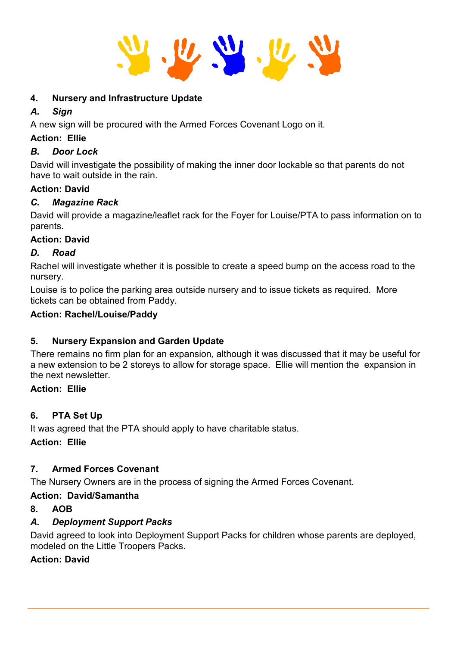

# **4. Nursery and Infrastructure Update**

# *A. Sign*

A new sign will be procured with the Armed Forces Covenant Logo on it.

# **Action: Ellie**

# *B. Door Lock*

David will investigate the possibility of making the inner door lockable so that parents do not have to wait outside in the rain.

# **Action: David**

# *C. Magazine Rack*

David will provide a magazine/leaflet rack for the Foyer for Louise/PTA to pass information on to parents.

# **Action: David**

# *D. Road*

Rachel will investigate whether it is possible to create a speed bump on the access road to the nursery.

Louise is to police the parking area outside nursery and to issue tickets as required. More tickets can be obtained from Paddy.

# **Action: Rachel/Louise/Paddy**

# **5. Nursery Expansion and Garden Update**

There remains no firm plan for an expansion, although it was discussed that it may be useful for a new extension to be 2 storeys to allow for storage space. Ellie will mention the expansion in the next newsletter.

# **Action: Ellie**

# **6. PTA Set Up**

It was agreed that the PTA should apply to have charitable status. **Action: Ellie**

# **7. Armed Forces Covenant**

The Nursery Owners are in the process of signing the Armed Forces Covenant.

# **Action: David/Samantha**

# **8. AOB**

# *A. Deployment Support Packs*

David agreed to look into Deployment Support Packs for children whose parents are deployed, modeled on the Little Troopers Packs.

# **Action: David**